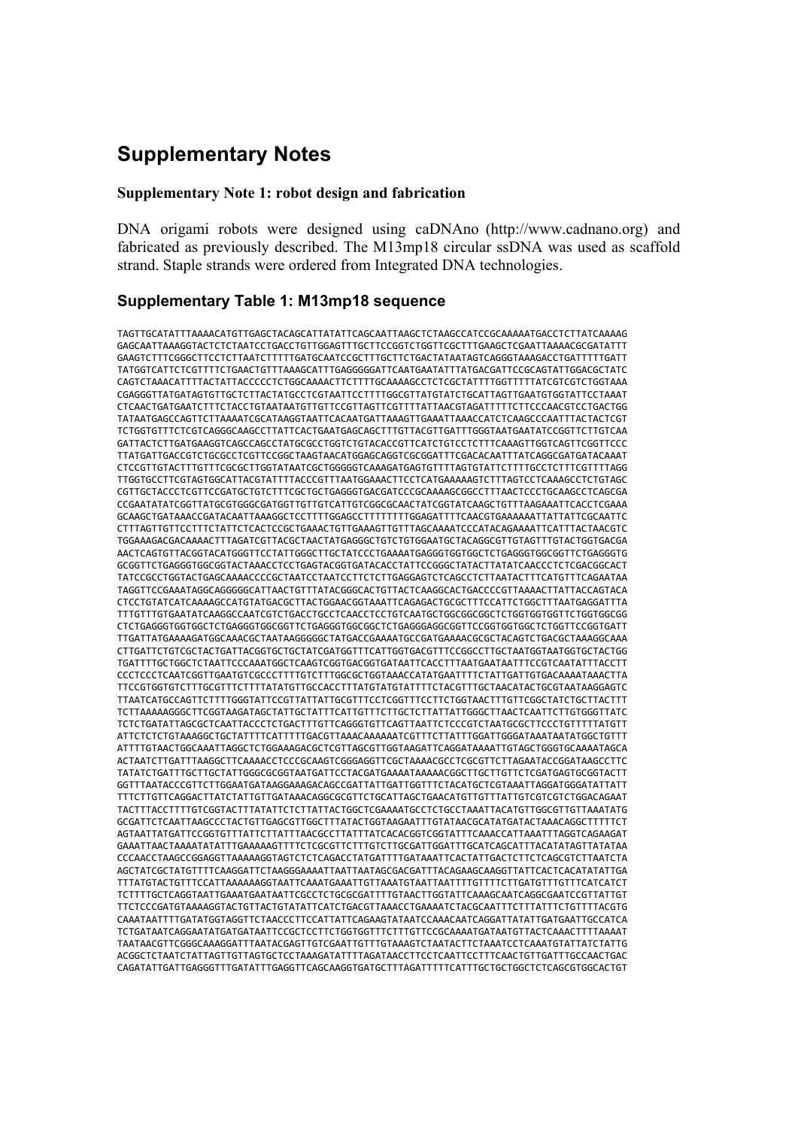# **Supplementary Notes**

#### **Supplementary Note 1: robot design and fabrication**

DNA origami robots were designed using caDNAno (http://www.cadnano.org) and fabricated as previously described. The M13mp18 circular ssDNA was used as scaffold strand. Staple strands were ordered from Integrated DNA technologies.

## **Supplementary Table 1: M13mp18 sequence**

TAGTTGCATATTTAAAACATGTTGAGCTACAGCATTATATTCAGCAATTAAGCTCTAAGCCATCCGCAAAAATGACCTCTTATCAAAAG GAGCAATTAAAGGTACTCTCTAATCCTGACCTGTTGGAGTTTGCTTCCGGTCTGGTTCGCTTTGAAGCTCGAATTAAAACGCGATATTT GAAGTCTTTCGGGCTTCCTCTTAATCTTTTTGATGCAATCCGCTTTGCTTCTGACTATAATAGTCAGGGTAAAGACCTGATTTTTGATT TATGGTCATTCTCGTTTTCTGAACTGTTTAAAGCATTTGAGGGGGATTCAATGAATATTTATGACGATTCCGCAGTATTGGACGCTATC CAGTCTAAACATTTTACTATTACCCCCTCTGGCAAAACTTCTTTTGCAAAAGCCTCTCGCTATTTTGGTTTTTATCGTCGTCTGGTAAA CGAGGGTTATGATAGTGTTGCTCTTACTATGCCTCGTAATTCCTTTTGGCGTTATGTATCTGCATTAGTTGAATGTGGTATTCCTAAAT CTCAACTGATGAATCTTTCTACCTGTAATAATGTTGTTCCGTTAGTTCGTTTTATTAACGTAGATTTTTCTTCCCAACGTCCTGACTGG TATAATGAGCCAGTTCTTAAAATCGCATAAGGTAATTCACAATGATTAAAGTTGAAATTAAACCATCTCAAGCCCAATTTACTACTCGT TCTGGTGTTTCTCGTCAGGGCAAGCCTTATTCACTGAATGAGCAGCTTTGTTACGTTGATTTGGGTAATGAATATCCGGTTCTTGTCAA GATTACTCTTGATGAAGGTCAGCCAGCCTATGCGCCTGGTCTGTACACCGTTCATCTGTCCTCTTTCAAAGTTGGTCAGTTCGGTTCCC TTATGATTGACCGTCTGCGCCTCGTTCCGGCTAAGTAACATGGAGCAGGTCGCGGATTTCGACACAATTTATCAGGCGATGATACAAAT CTCCGTTGTACTTTGTTTCGCGCTTGGTATAATCGCTGGGGGTCAAAGATGAGTGTTTTAGTGTATTCTTTTGCCTCTTTCGTTTTAGG TTGGTGCCTTCGTAGTGGCATTACGTATTTTACCCGTTTAATGGAAACTTCCTCATGAAAAAGTCTTTAGTCCTCAAAGCCTCTGTAGC CGTTGCTACCCTCGTTCCGATGCTGTCTTTCGCTGCTGAGGGTGACGATCCCGCAAAAGCGGCCTTTAACTCCCTGCAAGCCTCAGCGA CCGAATATATCGGTTATGCGTGGGCGATGGTTGTTGTCATTGTCGGCGCAACTATCGGTATCAAGCTGTTTAAGAAATTCACCTCGAAA GCAAGCTGATAAACCGATACAATTAAAGGCTCCTTTTGGAGCCTTTTTTTTGGAGATTTTCAACGTGAAAAAATTATTATTCGCAATTC CTTTAGTTGTTCCTTTCTATTCTCACTCCGCTGAAACTGTTGAAAGTTGTTTAGCAAAATCCCATACAGAAAATTCATTTACTAACGTC TGGAAAGACGACAAAACTTTAGATCGTTACGCTAACTATGAGGGCTGTCTGTGGAATGCTACAGGCGTTGTAGTTTGTACTGGTGACGA AACTCAGTGTTACGGTACATGGGTTCCTATTGGGCTTGCTATCCCTGAAAATGAGGGTGGTGGCTCTGAGGGTGGCGGTTCTGAGGGTG GCGGTTCTGAGGGTGGCGGTACTAAACCTCCTGAGTACGGTGATACACCTATTCCGGGCTATACTTATATCAACCCTCTCGACGGCACT TATCCGCCTGGTACTGAGCAAAACCCCGCTAATCCTAATCCTTCTCTTGAGGAGTCTCAGCCTCTTAATACTTTCATGTTTCAGAATAA TAGGTTCCGAAATAGGCAGGGGGCATTAACTGTTTATACGGGCACTGTTACTCAAGGCACTGACCCCGTTAAAACTTATTACCAGTACA CTCCTGTATCATCAAAAGCCATGTATGACGCTTACTGGAACGGTAAATTCAGAGACTGCGCTTTCCATTCTGGCTTTAATGAGGATTTA TTTGTTTGTGAATATCAAGGCCAATCGTCTGACCTGCCTCAACCTCCTGTCAATGCTGGCGGCGGCTCTGGTGGTGGTTCTGGTGGCGG CTCTGAGGGTGGTGGCTCTGAGGGTGGCGGTTCTGAGGGTGGCGGCTCTGAGGGAGGCGGTTCCGGTGGTGGCTCTGGTTCCGGTGATT TTGATTATGAAAAGATGGCAAACGCTAATAAGGGGGCTATGACCGAAAATGCCGATGAAAACGCGCTACAGTCTGACGCTAAAGGCAAA CTTGATTCTGTCGCTACTGATTACGGTGCTGCTATCGATGGTTTCATTGGTGACGTTTCCGGCCTTGCTAATGGTAATGGTGCTACTGG TGATTTTGCTGGCTCTAATTCCCAAATGGCTCAAGTCGGTGACGGTGATAATTCACCTTTAATGAATAATTTCCGTCAATATTTACCTT CCCTCCCTCAATCGGTTGAATGTCGCCCTTTTGTCTTTGGCGCTGGTAAACCATATGAATTTTCTATTGATTGTGACAAAATAAACTTA TTCCGTGGTGTCTTTGCGTTTCTTTTATATGTTGCCACCTTTATGTATGTATTTTCTACGTTTGCTAACATACTGCGTAATAAGGAGTC TTAATCATGCCAGTTCTTTTGGGTATTCCGTTATTATTGCGTTTCCTCGGTTTCCTTCTGGTAACTTTGTTCGGCTATCTGCTTACTTT TCTTAAAAAGGGCTTCGGTAAGATAGCTATTGCTATTTCATTGTTTCTTGCTCTTATTATTGGGCTTAACTCAATTCTTGTGGGTTATC TCTCTGATATTAGCGCTCAATTACCCTCTGACTTTGTTCAGGGTGTTCAGTTAATTCTCCCGTCTAATGCGCTTCCCTGTTTTTATGTT ATTCTCTCTGTAAAGGCTGCTATTTTCATTTTTGACGTTAAACAAAAAATCGTTTCTTATTTGGATTGGGATAAATAATATGGCTGTTT ATTTTGTAACTGGCAAATTAGGCTCTGGAAAGACGCTCGTTAGCGTTGGTAAGATTCAGGATAAAATTGTAGCTGGGTGCAAAATAGCA ACTAATCTTGATTTAAGGCTTCAAAACCTCCCGCAAGTCGGGAGGTTCGCTAAAACGCCTCGCGTTCTTAGAATACCGGATAAGCCTTC TATATCTGATTTGCTTGCTATTGGGCGCGGTAATGATTCCTACGATGAAAATAAAAACGGCTTGCTTGTTCTCGATGAGTGCGGTACTT GGTTTAATACCCGTTCTTGGAATGATAAGGAAAGACAGCCGATTATTGATTGGTTTCTACATGCTCGTAAATTAGGATGGGATATTATT TTTCTTGTTCAGGACTTATCTATTGTTGATAAACAGGCGCGTTCTGCATTAGCTGAACATGTTGTTTATTGTCGTCGTCTGGACAGAAT TACTTTACCTTTTGTCGGTACTTTATATTCTCTTATTACTGGCTCGAAAATGCCTCTGCCTAAATTACATGTTGGCGTTGTTAAATATG GCGATTCTCAATTAAGCCCTACTGTTGAGCGTTGGCTTTATACTGGTAAGAATTTGTATAACGCATATGATACTAAACAGGCTTTTTCT AGTAATTATGATTCCGGTGTTTATTCTTATTTAACGCCTTATTTATCACACGGTCGGTATTTCAAACCATTAAATTTAGGTCAGAAGAT GAAATTAACTAAAATATATTTGAAAAAGTTTTCTCGCGTTCTTTGTCTTGCGATTGGATTTGCATCAGCATTTACATATAGTTATATAA CCCAACCTAAGCCGGAGGTTAAAAAGGTAGTCTCTCAGACCTATGATTTTGATAAATTCACTATTGACTCTTCTCAGCGTCTTAATCTA AGCTATCGCTATGTTTTCAAGGATTCTAAGGGAAAATTAATTAATAGCGACGATTTACAGAAGCAAGGTTATTCACTCACATATATTGA TTTATGTACTGTTTCCATTAAAAAAGGTAATTCAAATGAAATTGTTAAATGTAATTAATTTTGTTTTCTTGATGTTTGTTTCATCATCT TCTTTTGCTCAGGTAATTGAAATGAATAATTCGCCTCTGCGCGATTTTGTAACTTGGTATTCAAAGCAATCAGGCGAATCCGTTATTGT TTCTCCCGATGTAAAAGGTACTGTTACTGTATATTCATCTGACGTTAAACCTGAAAATCTACGCAATTTCTTTATTTCTGTTTTACGTG CAAATAATTTTGATATGGTAGGTTCTAACCCTTCCATTATTCAGAAGTATAATCCAAACAATCAGGATTATATTGATGAATTGCCATCA TCTGATAATCAGGAATATGATGATAATTCCGCTCCTTCTGGTGGTTTCTTTGTTCCGCAAAATGATAATGTTACTCAAACTTTTAAAAT TAATAACGTTCGGGCAAAGGATTTAATACGAGTTGTCGAATTGTTTGTAAAGTCTAATACTTCTAAATCCTCAAATGTATTATCTATTG ACGGCTCTAATCTATTAGTTGTTAGTGCTCCTAAAGATATTTTAGATAACCTTCCTCAATTCCTTTCAACTGTTGATTTGCCAACTGAC CAGATATTGATTGAGGGTTTGATATTTGAGGTTCAGCAAGGTGATGCTTTAGATTTTTCATTTGCTGCTGGCTCTCAGCGTGGCACTGT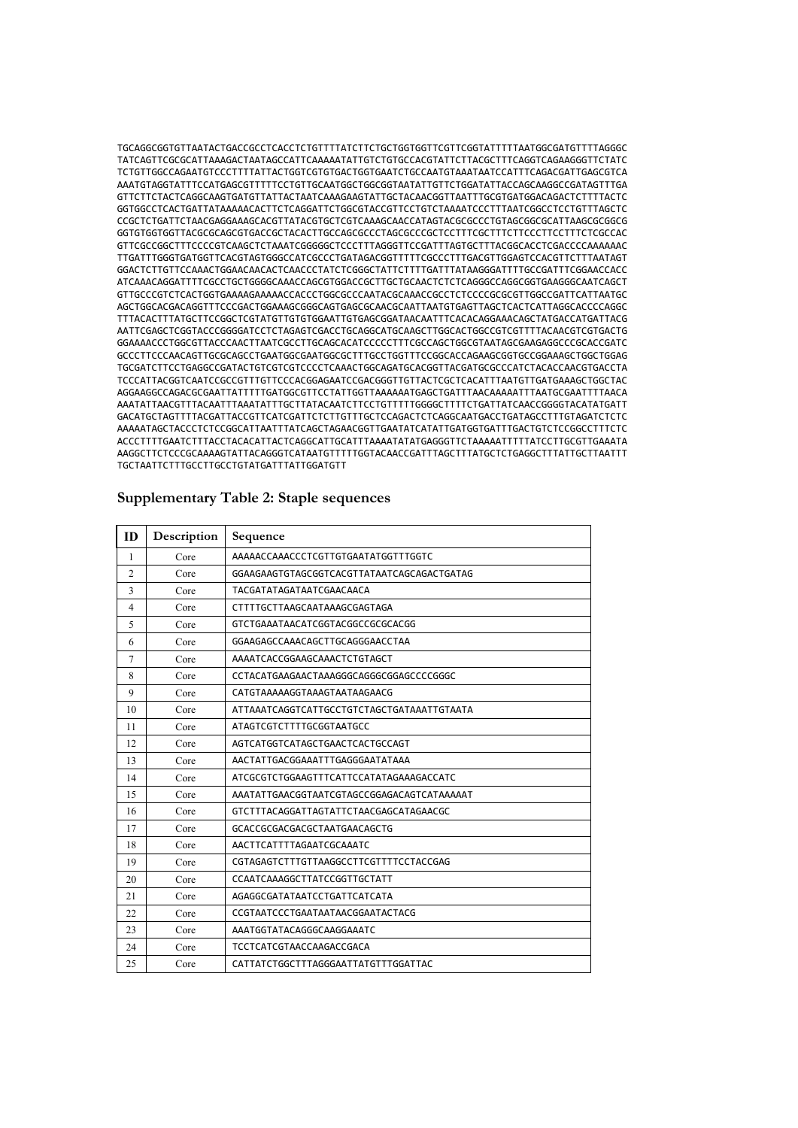TGCAGGCGGTGTTAATACTGACCGCCTCACCTCTGTTTTATCTTCTGCTGGTGGTTCGTTCGGTATTTTTAATGGCGATGTTTTAGGGC TATCAGTTCGCGCATTAAAGACTAATAGCCATTCAAAAATATTGTCTGTGCCACGTATTCTTACGCTTTCAGGTCAGAAGGGTTCTATC TCTGTTGGCCAGAATGTCCCTTTTATTACTGGTCGTGTGACTGGTGAATCTGCCAATGTAAATAATCCATTTCAGACGATTGAGCGTCA AAATGTAGGTATTTCCATGAGCGTTTTTCCTGTTGCAATGGCTGGCGGTAATATTGTTCTGGATATTACCAGCAAGGCCGATAGTTTGA GTTCTTCTACTCAGGCAAGTGATGTTATTACTAATCAAAGAAGTATTGCTACAACGGTTAATTTGCGTGATGGACAGACTCTTTTACTC GGTGGCCTCACTGATTATAAAAACACTTCTCAGGATTCTGGCGTACCGTTCCTGTCTAAAATCCCTTTAATCGGCCTCCTGTTTAGCTC CCGCTCTGATTCTAACGAGGAAAGCACGTTATACGTGCTCGTCAAAGCAACCATAGTACGCGCCCTGTAGCGGCGCATTAAGCGCGGCG GGTGTGGTGGTTACGCGCAGCGTGACCGCTACACTTGCCAGCGCCCTAGCGCCCGCTCCTTTCGCTTTCTTCCCTTCCTTTCTCGCCAC GTTCGCCGGCTTTCCCCGTCAAGCTCTAAATCGGGGGCTCCCTTTAGGGTTCCGATTTAGTGCTTTACGGCACCTCGACCCCAAAAAAC TTGATTTGGGTGATGGTTCACGTAGTGGGCCATCGCCCTGATAGACGGTTTTTCGCCCTTTGACGTTGGAGTCCACGTTCTTTAATAGT GGACTCTTGTTCCAAACTGGAACAACACTCAACCCTATCTCGGGCTATTCTTTTGATTTATAAGGGATTTTGCCGATTTCGGAACCACC ATCAAACAGGATTTTCGCCTGCTGGGGCAAACCAGCGTGGACCGCTTGCTGCAACTCTCTCAGGGCCAGGCGGTGAAGGGCAATCAGCT GTTGCCCGTCTCACTGGTGAAAAGAAAAACCACCCTGGCGCCCAATACGCAAACCGCCTCTCCCCGCGCGTTGGCCGATTCATTAATGC AGCTGGCACGACAGGTTTCCCGACTGGAAAGCGGGCAGTGAGCGCAACGCAATTAATGTGAGTTAGCTCACTCATTAGGCACCCCAGGC TTTACACTTTATGCTTCCGGCTCGTATGTTGTGTGGAATTGTGAGCGGATAACAATTTCACACAGGAAACAGCTATGACCATGATTACG AATTCGAGCTCGGTACCCGGGGATCCTCTAGAGTCGACCTGCAGGCATGCAAGCTTGGCACTGGCCGTCGTTTTACAACGTCGTGACTG GGAAAACCCTGGCGTTACCCAACTTAATCGCCTTGCAGCACATCCCCCTTTCGCCAGCTGGCGTAATAGCGAAGAGGCCCGCACCGATC GCCCTTCCCAACAGTTGCGCAGCCTGAATGGCGAATGGCGCTTTGCCTGGTTTCCGGCACCAGAAGCGGTGCCGGAAAGCTGGCTGGAG TGCGATCTTCCTGAGGCCGATACTGTCGTCGTCCCCTCAAACTGGCAGATGCACGGTTACGATGCGCCCATCTACACCAACGTGACCTA TCCCATTACGGTCAATCCGCCGTTTGTTCCCACGGAGAATCCGACGGGTTGTTACTCGCTCACATTTAATGTTGATGAAAGCTGGCTAC AGGAAGGCCAGACGCGAATTATTTTTGATGGCGTTCCTATTGGTTAAAAAATGAGCTGATTTAACAAAAATTTAATGCGAATTTTAACA AAATATTAACGTTTACAATTTAAATATTTGCTTATACAATCTTCCTGTTTTTGGGGCTTTTCTGATTATCAACCGGGGTACATATGATT GACATGCTAGTTTTACGATTACCGTTCATCGATTCTCTTGTTTGCTCCAGACTCTCAGGCAATGACCTGATAGCCTTTGTAGATCTCTC AAAAATAGCTACCCTCTCCGGCATTAATTTATCAGCTAGAACGGTTGAATATCATATTGATGGTGATTTGACTGTCTCCGGCCTTTCTC ACCCTTTTGAATCTTTACCTACACATTACTCAGGCATTGCATTTAAAATATATGAGGGTTCTAAAAATTTTTATCCTTGCGTTGAAATA AAGGCTTCTCCCGCAAAAGTATTACAGGGTCATAATGTTTTTGGTACAACCGATTTAGCTTTATGCTCTGAGGCTTTATTGCTTAATTT TGCTAATTCTTTGCCTTGCCTGTATGATTTATTGGATGTT

| Supplementary Table 2: Staple sequences |  |  |
|-----------------------------------------|--|--|
|                                         |  |  |

| ID             | Description | Sequence                                   |
|----------------|-------------|--------------------------------------------|
| 1              | Core        | AAAAACCAAACCCTCGTTGTGAATATGGTTTGGTC        |
| $\overline{2}$ | Core        | GGAAGAAGTGTAGCGGTCACGTTATAATCAGCAGACTGATAG |
| 3              | Core        | TACGATATAGATAATCGAACAACA                   |
| $\overline{4}$ | Core        | CTTTTGCTTAAGCAATAAAGCGAGTAGA               |
| 5              | Core        | GTCTGAAATAACATCGGTACGGCCGCGCACGG           |
| 6              | Core        | GGAAGAGCCAAACAGCTTGCAGGGAACCTAA            |
| $\tau$         | Core        | AAAATCACCGGAAGCAAACTCTGTAGCT               |
| 8              | Core        | CCTACATGAAGAACTAAAGGGCAGGGCGGAGCCCCGGGC    |
| 9              | Core        | CATGTAAAAAGGTAAAGTAATAAGAACG               |
| 10             | Core        | ATTAAATCAGGTCATTGCCTGTCTAGCTGATAAATTGTAATA |
| 11             | Core        | ATAGTCGTCTTTTGCGGTAATGCC                   |
| 12             | Core        | AGTCATGGTCATAGCTGAACTCACTGCCAGT            |
| 13             | Core        | AACTATTGACGGAAATTTGAGGGAATATAAA            |
| 14             | Core        | ATCGCGTCTGGAAGTTTCATTCCATATAGAAAGACCATC    |
| 15             | Core        | AAATATTGAACGGTAATCGTAGCCGGAGACAGTCATAAAAAT |
| 16             | Core        | GTCTTTACAGGATTAGTATTCTAACGAGCATAGAACGC     |
| 17             | Core        | GCACCGCGACGACGCTAATGAACAGCTG               |
| 18             | Core        | AACTTCATTTTAGAATCGCAAATC                   |
| 19             | Core        | CGTAGAGTCTTTGTTAAGGCCTTCGTTTTCCTACCGAG     |
| 20             | Core        | CCAATCAAAGGCTTATCCGGTTGCTATT               |
| 21             | Core        | AGAGGCGATATAATCCTGATTCATCATA               |
| 22             | Core        | CCGTAATCCCTGAATAATAACGGAATACTACG           |
| 23             | Core        | AAATGGTATACAGGGCAAGGAAATC                  |
| 24             | Core        | TCCTCATCGTAACCAAGACCGACA                   |
| 25             | Core        | CATTATCTGGCTTTAGGGAATTATGTTTGGATTAC        |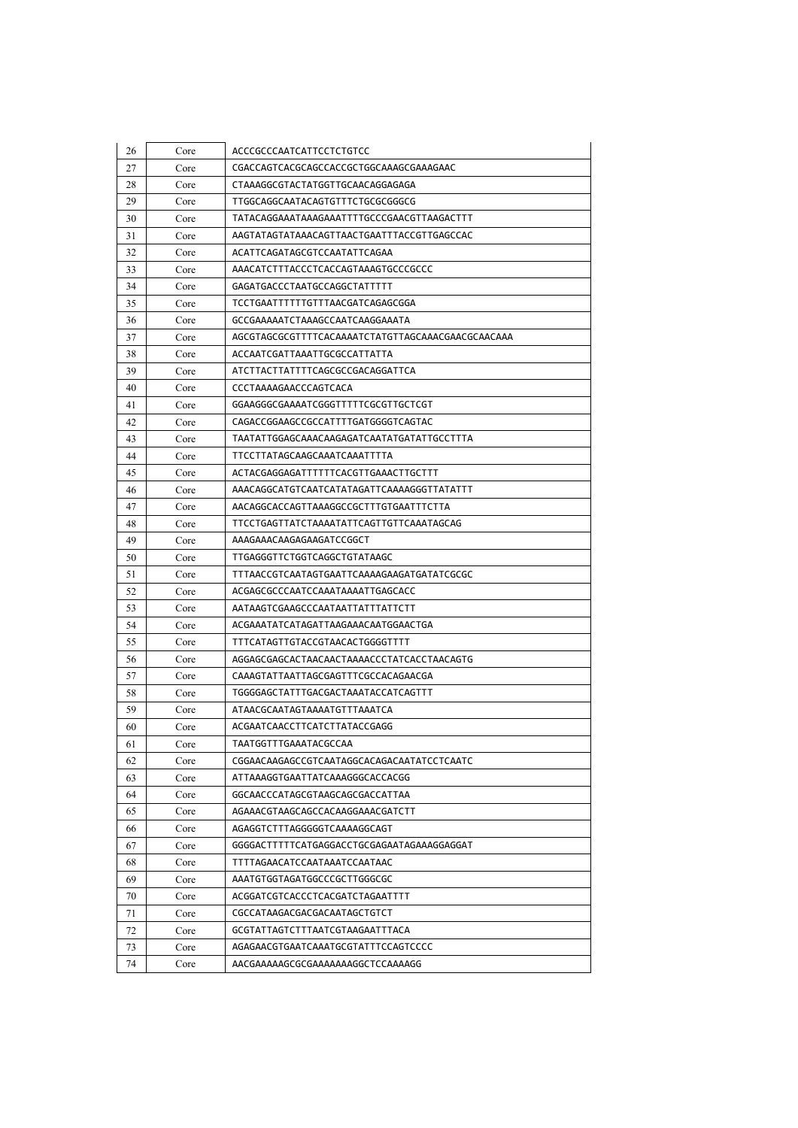| 26 | Core | ACCCGCCCAATCATTCCTCTGTCC                   |
|----|------|--------------------------------------------|
| 27 | Core | CGACCAGTCACGCAGCCACCGCTGGCAAAGCGAAAGAAC    |
| 28 | Core | CTAAAGGCGTACTATGGTTGCAACAGGAGAGA           |
| 29 | Core | TTGGCAGGCAATACAGTGTTTCTGCGCGGGCG           |
| 30 | Core | TATACAGGAAATAAAGAAATTTTGCCCGAACGTTAAGACTTT |
| 31 | Core | AAGTATAGTATAAACAGTTAACTGAATTTACCGTTGAGCCAC |
| 32 | Core | ACATTCAGATAGCGTCCAATATTCAGAA               |
| 33 | Core | AAACATCTTTACCCTCACCAGTAAAGTGCCCGCCC        |
| 34 | Core | GAGATGACCCTAATGCCAGGCTATTTTT               |
| 35 | Core | TCCTGAATTTTTTGTTTAACGATCAGAGCGGA           |
| 36 | Core | GCCGAAAAATCTAAAGCCAATCAAGGAAATA            |
| 37 | Core |                                            |
| 38 | Core | ACCAATCGATTAAATTGCGCCATTATTA               |
| 39 | Core | ATCTTACTTATTTTCAGCGCCGACAGGATTCA           |
| 40 | Core | CCCTAAAAGAACCCAGTCACA                      |
| 41 | Core | GGAAGGGCGAAAATCGGGTTTTTCGCGTTGCTCGT        |
| 42 | Core | CAGACCGGAAGCCGCCATTTTGATGGGGTCAGTAC        |
| 43 | Core | TAATATTGGAGCAAACAAGAGATCAATATGATATTGCCTTTA |
| 44 | Core | TTCCTTATAGCAAGCAAATCAAATTTTA               |
| 45 | Core | ACTACGAGGAGATTTTTTCACGTTGAAACTTGCTTT       |
| 46 | Core | AAACAGGCATGTCAATCATATAGATTCAAAAGGGTTATATTT |
| 47 | Core | AACAGGCACCAGTTAAAGGCCGCTTTGTGAATTTCTTA     |
| 48 | Core | TTCCTGAGTTATCTAAAATATTCAGTTGTTCAAATAGCAG   |
| 49 | Core | AAAGAAACAAGAGAAGATCCGGCT                   |
| 50 | Core | TTGAGGGTTCTGGTCAGGCTGTATAAGC               |
| 51 | Core | TTTAACCGTCAATAGTGAATTCAAAAGAAGATGATATCGCGC |
| 52 | Core | ACGAGCGCCCAATCCAAATAAAATTGAGCACC           |
| 53 | Core | AATAAGTCGAAGCCCAATAATTATTTATTCTT           |
| 54 | Core | ACGAAATATCATAGATTAAGAAACAATGGAACTGA        |
| 55 | Core | TTTCATAGTTGTACCGTAACACTGGGGTTTT            |
| 56 | Core | AGGAGCGAGCACTAACAACTAAAACCCTATCACCTAACAGTG |
| 57 | Core | CAAAGTATTAATTAGCGAGTTTCGCCACAGAACGA        |
| 58 | Core | TGGGGAGCTATTTGACGACTAAATACCATCAGTTT        |
| 59 | Core | ATAACGCAATAGTAAAATGTTTAAATCA               |
| 60 | Core | ACGAATCAACCTTCATCTTATACCGAGG               |
| 61 | Core | TAATGGTTTGAAATACGCCAA                      |
| 62 | Core | CGGAACAAGAGCCGTCAATAGGCACAGACAATATCCTCAATC |
| 63 | Core | ATTAAAGGTGAATTATCAAAGGGCACCACGG            |
| 64 | Core | GGCAACCCATAGCGTAAGCAGCGACCATTAA            |
| 65 | Core | AGAAACGTAAGCAGCCACAAGGAAACGATCTT           |
| 66 | Core | AGAGGTCTTTAGGGGGTCAAAAGGCAGT               |
| 67 | Core | GGGGACTTTTTCATGAGGACCTGCGAGAATAGAAAGGAGGAT |
| 68 | Core | TTTTAGAACATCCAATAAATCCAATAAC               |
| 69 | Core | AAATGTGGTAGATGGCCCGCTTGGGCGC               |
| 70 | Core | ACGGATCGTCACCCTCACGATCTAGAATTTT            |
| 71 | Core | CGCCATAAGACGACGACAATAGCTGTCT               |
| 72 | Core | GCGTATTAGTCTTTAATCGTAAGAATTTACA            |
| 73 | Core | AGAGAACGTGAATCAAATGCGTATTTCCAGTCCCC        |
| 74 | Core | AACGAAAAAGCGCGAAAAAAAGGCTCCAAAAGG          |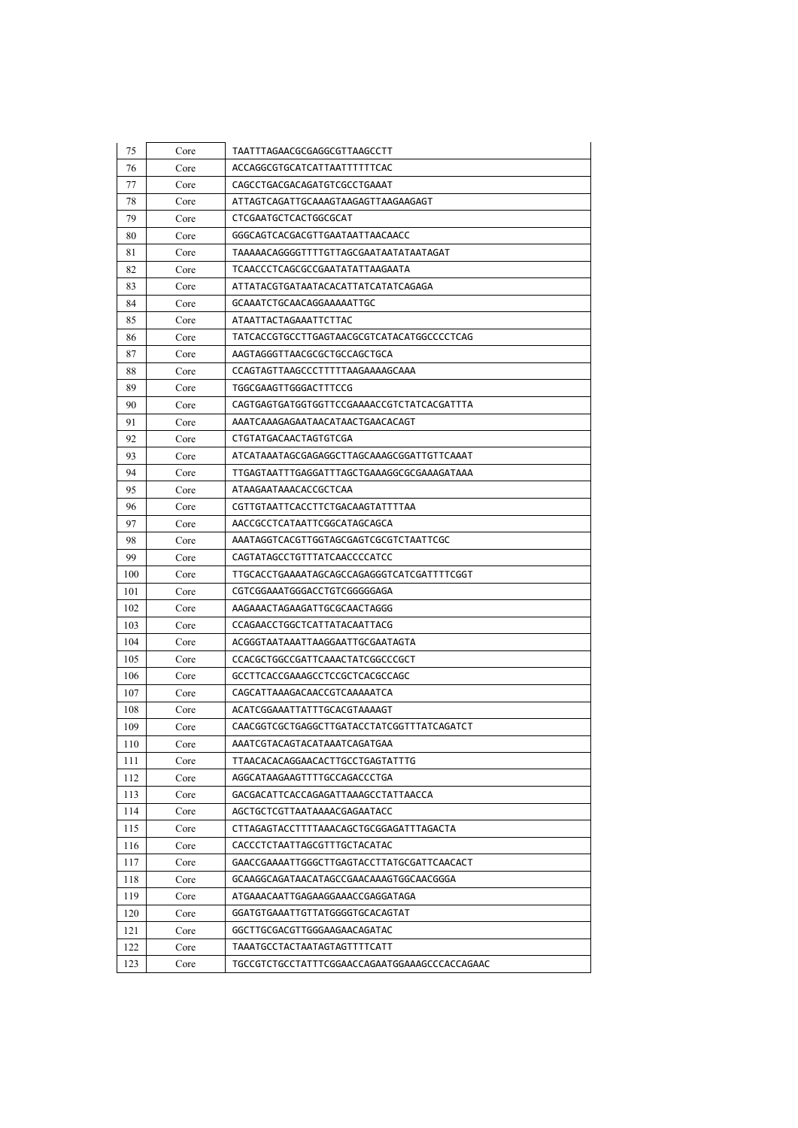| 75  | Core | TAATTTAGAACGCGAGGCGTTAAGCCTT                  |
|-----|------|-----------------------------------------------|
| 76  | Core | ACCAGGCGTGCATCATTAATTTTTTCAC                  |
| 77  | Core | CAGCCTGACGACAGATGTCGCCTGAAAT                  |
| 78  | Core | ATTAGTCAGATTGCAAAGTAAGAGTTAAGAAGAGT           |
| 79  | Core | CTCGAATGCTCACTGGCGCAT                         |
| 80  | Core | GGGCAGTCACGACGTTGAATAATTAACAACC               |
| 81  | Core | TAAAAACAGGGGTTTTGTTAGCGAATAATATAATAGAT        |
| 82  | Core | TCAACCCTCAGCGCCGAATATATTAAGAATA               |
| 83  | Core | ATTATACGTGATAATACACATTATCATATCAGAGA           |
| 84  | Core | GCAAATCTGCAACAGGAAAAATTGC                     |
| 85  | Core | ATAATTACTAGAAATTCTTAC                         |
| 86  | Core | TATCACCGTGCCTTGAGTAACGCGTCATACATGGCCCCTCAG    |
| 87  | Core | AAGTAGGGTTAACGCGCTGCCAGCTGCA                  |
| 88  | Core | CCAGTAGTTAAGCCCTTTTTAAGAAAAGCAAA              |
| 89  | Core | TGGCGAAGTTGGGACTTTCCG                         |
| 90  | Core | CAGTGAGTGATGGTGGTTCCGAAAACCGTCTATCACGATTTA    |
| 91  | Core | AAATCAAAGAGAATAACATAACTGAACACAGT              |
| 92  | Core | CTGTATGACAACTAGTGTCGA                         |
| 93  | Core | ATCATAAATAGCGAGAGGCTTAGCAAAGCGGATTGTTCAAAT    |
| 94  | Core | TTGAGTAATTTGAGGATTTAGCTGAAAGGCGCGAAAGATAAA    |
| 95  | Core | ATAAGAATAAACACCGCTCAA                         |
| 96  | Core | CGTTGTAATTCACCTTCTGACAAGTATTTTAA              |
| 97  | Core | AACCGCCTCATAATTCGGCATAGCAGCA                  |
| 98  | Core | AAATAGGTCACGTTGGTAGCGAGTCGCGTCTAATTCGC        |
| 99  | Core | CAGTATAGCCTGTTTATCAACCCCATCC                  |
| 100 | Core | TTGCACCTGAAAATAGCAGCCAGAGGGTCATCGATTTTCGGT    |
| 101 | Core | CGTCGGAAATGGGACCTGTCGGGGGAGA                  |
| 102 | Core | AAGAAACTAGAAGATTGCGCAACTAGGG                  |
| 103 | Core | CCAGAACCTGGCTCATTATACAATTACG                  |
| 104 | Core | ACGGGTAATAAATTAAGGAATTGCGAATAGTA              |
| 105 | Core | CCACGCTGGCCGATTCAAACTATCGGCCCGCT              |
| 106 | Core | GCCTTCACCGAAAGCCTCCGCTCACGCCAGC               |
| 107 | Core | CAGCATTAAAGACAACCGTCAAAAATCA                  |
| 108 | Core | ACATCGGAAATTATTTGCACGTAAAAGT                  |
| 109 | Core | CAACGGTCGCTGAGGCTTGATACCTATCGGTTTATCAGATCT    |
| 110 | Core | AAATCGTACAGTACATAAATCAGATGAA                  |
| 111 | Core | TTAACACACAGGAACACTTGCCTGAGTATTTG              |
| 112 | Core | AGGCATAAGAAGTTTTGCCAGACCCTGA                  |
| 113 | Core | GACGACATTCACCAGAGATTAAAGCCTATTAACCA           |
| 114 | Core | AGCTGCTCGTTAATAAAACGAGAATACC                  |
| 115 | Core | CTTAGAGTACCTTTTAAACAGCTGCGGAGATTTAGACTA       |
| 116 | Core | CACCCTCTAATTAGCGTTTGCTACATAC                  |
| 117 | Core | GAACCGAAAATTGGGCTTGAGTACCTTATGCGATTCAACACT    |
| 118 | Core | GCAAGGCAGATAACATAGCCGAACAAAGTGGCAACGGGA       |
| 119 | Core | ATGAAACAATTGAGAAGGAAACCGAGGATAGA              |
| 120 | Core | GGATGTGAAATTGTTATGGGGTGCACAGTAT               |
| 121 | Core | GGCTTGCGACGTTGGGAAGAACAGATAC                  |
| 122 | Core | TAAATGCCTACTAATAGTAGTTTTCATT                  |
| 123 | Core | TGCCGTCTGCCTATTTCGGAACCAGAATGGAAAGCCCACCAGAAC |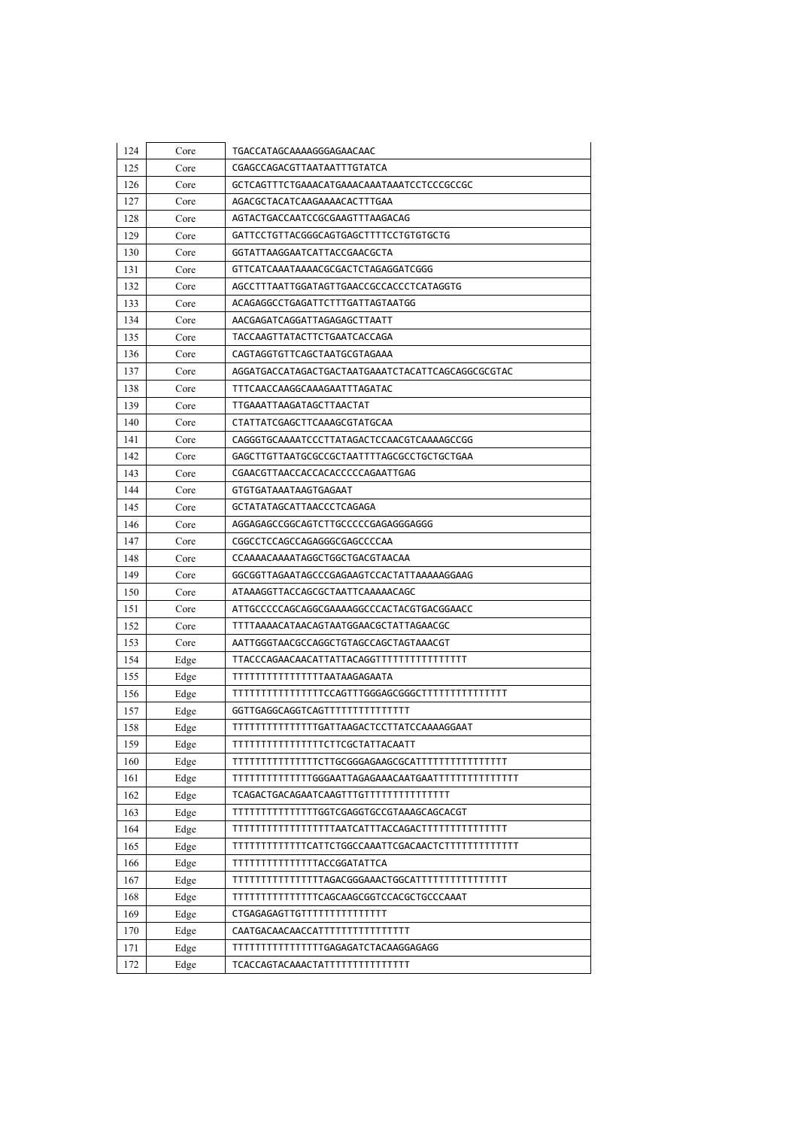| 124 | Core | TGACCATAGCAAAAGGGAGAACAAC                         |
|-----|------|---------------------------------------------------|
| 125 | Core | CGAGCCAGACGTTAATAATTTGTATCA                       |
| 126 | Core | GCTCAGTTTCTGAAACATGAAACAAATAAATCCTCCCGCCGC        |
| 127 | Core | AGACGCTACATCAAGAAAACACTTTGAA                      |
| 128 | Core | AGTACTGACCAATCCGCGAAGTTTAAGACAG                   |
| 129 | Core | GATTCCTGTTACGGGCAGTGAGCTTTTCCTGTGTGCTG            |
| 130 | Core | GGTATTAAGGAATCATTACCGAACGCTA                      |
| 131 | Core | GTTCATCAAATAAAACGCGACTCTAGAGGATCGGG               |
| 132 | Core | AGCCTTTAATTGGATAGTTGAACCGCCACCCTCATAGGTG          |
| 133 | Core | ACAGAGGCCTGAGATTCTTTGATTAGTAATGG                  |
| 134 | Core | AACGAGATCAGGATTAGAGAGCTTAATT                      |
| 135 | Core | TACCAAGTTATACTTCTGAATCACCAGA                      |
| 136 | Core | CAGTAGGTGTTCAGCTAATGCGTAGAAA                      |
| 137 | Core | AGGATGACCATAGACTGACTAATGAAATCTACATTCAGCAGGCGCGTAC |
| 138 | Core | TTTCAACCAAGGCAAAGAATTTAGATAC                      |
| 139 | Core | TTGAAATTAAGATAGCTTAACTAT                          |
| 140 | Core | CTATTATCGAGCTTCAAAGCGTATGCAA                      |
| 141 | Core | CAGGGTGCAAAATCCCTTATAGACTCCAACGTCAAAAGCCGG        |
| 142 | Core | GAGCTTGTTAATGCGCCGCTAATTTTAGCGCCTGCTGCTGAA        |
| 143 | Core | CGAACGTTAACCACCACACCCCCAGAATTGAG                  |
| 144 | Core | GTGTGATAAATAAGTGAGAAT                             |
| 145 | Core | GCTATATAGCATTAACCCTCAGAGA                         |
| 146 | Core | AGGAGAGCCGGCAGTCTTGCCCCCGAGAGGGAGGG               |
| 147 | Core | CGGCCTCCAGCCAGAGGGCGAGCCCCAA                      |
| 148 | Core | CCAAAACAAAATAGGCTGGCTGACGTAACAA                   |
| 149 | Core | GGCGGTTAGAATAGCCCGAGAAGTCCACTATTAAAAAGGAAG        |
| 150 | Core | ATAAAGGTTACCAGCGCTAATTCAAAAACAGC                  |
| 151 | Core | ATTGCCCCCAGCAGGCGAAAAGGCCCACTACGTGACGGAACC        |
| 152 | Core | TTTTAAAACATAACAGTAATGGAACGCTATTAGAACGC            |
| 153 | Core | AATTGGGTAACGCCAGGCTGTAGCCAGCTAGTAAACGT            |
| 154 | Edge |                                                   |
| 155 | Edge | TTTTTTTTTTTTTTTAATAAGAGAATA                       |
| 156 | Edge |                                                   |
| 157 | Edge | GGTTGAGGCAGGTCAGTTTTTTTTTTTTTTT                   |
| 158 | Edge | TTTTTTTTTTTTTTGATTAAGACTCCTTATCCAAAAGGAAT         |
| 159 | Edge | TTTTTTTTTTTTTTTTCTTCGCTATTACAATT                  |
| 160 | Edge |                                                   |
| 161 | Edge |                                                   |
| 162 | Edge | TCAGACTGACAGAATCAAGTTTGTTTTTTTTTTTTTTT            |
| 163 | Edge | TTTTTTTTTTTTTTGGTCGAGGTGCCGTAAAGCAGCACGT          |
| 164 | Edge |                                                   |
| 165 | Edge |                                                   |
| 166 | Edge | TTTTTTTTTTTTTTACCGGATATTCA                        |
| 167 | Edge |                                                   |
| 168 | Edge | TTTTTTTTTTTTTTCAGCAAGCGGTCCACGCTGCCCAAAT          |
| 169 | Edge | CTGAGAGAGTTGTTTTTTTTTTTTTTT                       |
| 170 | Edge | CAATGACAACAACCATTTTTTTTTTTTTTT                    |
| 171 | Edge | TTTTTTTTTTTTTTTGAGAGATCTACAAGGAGAGG               |
| 172 | Edge | TCACCAGTACAAACTATTTTTTTTTTTTTTT                   |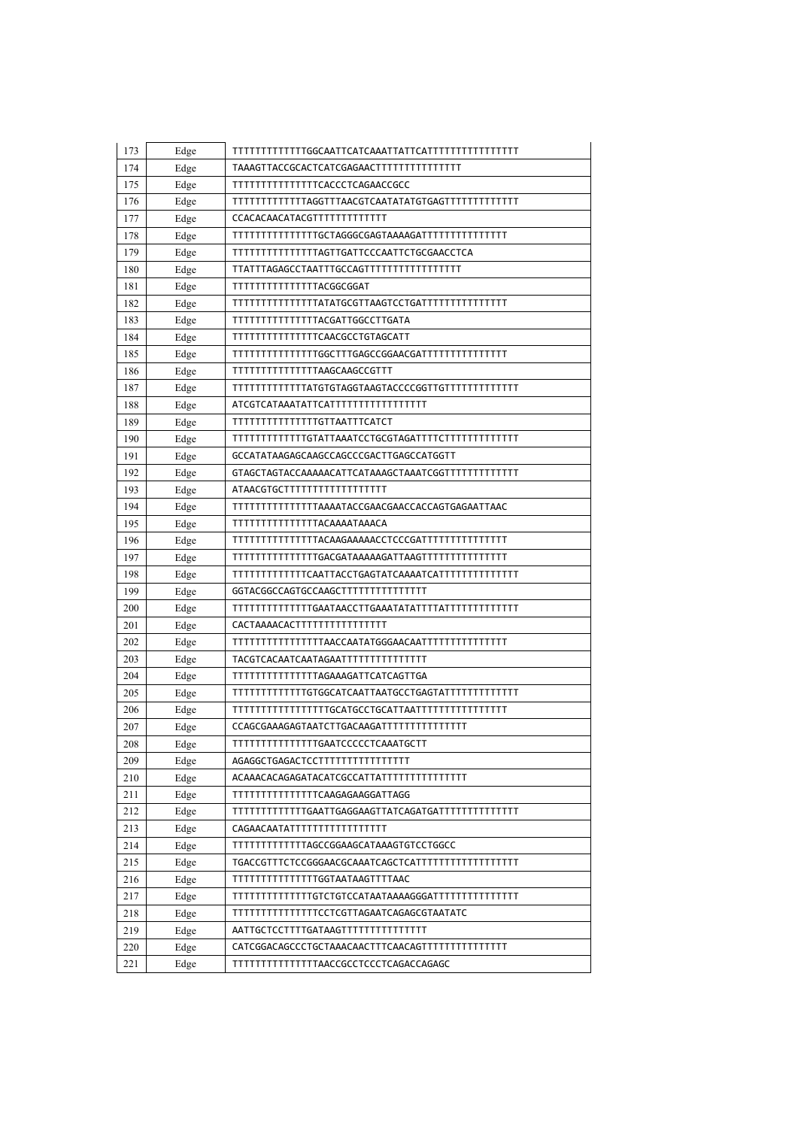| 173 | Edge |                                                 |
|-----|------|-------------------------------------------------|
| 174 | Edge |                                                 |
| 175 | Edge | <b>TTTTTTTTTTTTTTCACCCTCAGAACCGCC</b>           |
| 176 | Edge |                                                 |
| 177 | Edge | CCACACAACATACGTTTTTTTTTTTTT                     |
| 178 | Edge |                                                 |
| 179 | Edge | TTTTTTTTTTTTTTTAGTTGATTCCCAATTCTGCGAACCTCA      |
| 180 | Edge |                                                 |
| 181 | Edge | TTTTTTTTTTTTTTACGGCGGAT                         |
| 182 | Edge |                                                 |
| 183 | Edge | TTTTTTTTTTTTTTTACGATTGGCCTTGATA                 |
| 184 | Edge | TTTTTTTTTTTTTTCAACGCCTGTAGCATT                  |
| 185 | Edge |                                                 |
| 186 | Edge | TTTTTTTTTTTTTTAAGCAAGCCGTTT                     |
| 187 | Edge |                                                 |
| 188 | Edge | ATCGTCATAAATATTCATTTTTTTTTTTTTTTTT              |
| 189 | Edge | TTTTTTTTTTTTTTGTTAATTTCATCT                     |
| 190 | Edge |                                                 |
| 191 | Edge | GCCATATAAGAGCAAGCCAGCCCGACTTGAGCCATGGTT         |
| 192 | Edge |                                                 |
| 193 | Edge | ATAACGTGCTTTTTTTTTTTTTTTTT                      |
| 194 | Edge | TTTTTTTTTTTTTTAAAATACCGAACGAACCACCAGTGAGAATTAAC |
| 195 | Edge | TTTTTTTTTTTTTTTACAAAATAAACA                     |
| 196 | Edge |                                                 |
| 197 | Edge |                                                 |
| 198 | Edge |                                                 |
| 199 | Edge | GGTACGGCCAGTGCCAAGCTTTTTTTTTTTTTTT              |
| 200 | Edge |                                                 |
| 201 | Edge | CACTAAAACACTTTTTTTTTTTTTTTT                     |
| 202 | Edge |                                                 |
| 203 | Edge | TACGTCACAATCAATAGAATTTTTTTTTTTTTTT              |
| 204 | Edge | TTTTTTTTTTTTTTAGAAGATTCATCAGTTGA                |
| 205 | Edge |                                                 |
| 206 | Edge |                                                 |
| 207 | Edge |                                                 |
| 208 | Edge | TTTTTTTTTTTTTTGAATCCCCCTCAAATGCTT               |
| 209 | Edge | AGAGGCTGAGACTCCTTTTTTTTTTTTTTTT                 |
| 210 | Edge |                                                 |
| 211 | Edge | TTTTTTTTTTTTTTCAAGAGAAGGATTAGG                  |
| 212 | Edge |                                                 |
| 213 | Edge | CAGAACAATATTTTTTTTTTTTTTTTT                     |
| 214 | Edge | TTTTTTTTTTTTAGCCGGAAGCATAAAGTGTCCTGGCC          |
| 215 | Edge |                                                 |
| 216 | Edge | TTTTTTTTTTTTTTGGTAATAAGTTTTAAC                  |
| 217 | Edge |                                                 |
| 218 | Edge | TTTTTTTTTTTTTTCCTCGTTAGAATCAGAGCGTAATATC        |
| 219 | Edge | AATTGCTCCTTTTGATAAGTTTTTTTTTTTTTTT              |
| 220 | Edge |                                                 |
| 221 | Edge | TTTTTTTTTTTTTTTAACCGCCTCCCTCAGACCAGAGC          |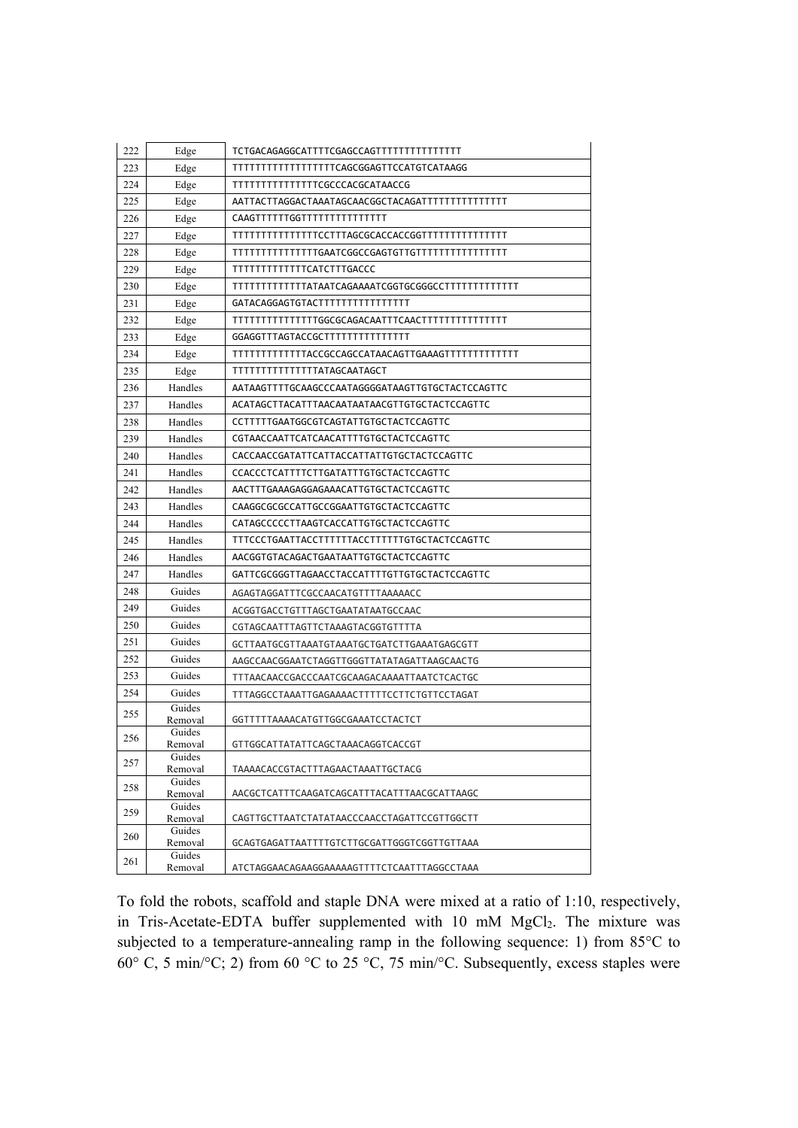| 222 | Edge              |                                                  |
|-----|-------------------|--------------------------------------------------|
| 223 | Edge              | TTTTTTTTTTTTTTTTTCAGCGGAGTTCCATGTCATAAGG         |
| 224 | Edge              | TTTTTTTTTTTTTTCGCCCACGCATAACCG                   |
| 225 | Edge              |                                                  |
| 226 | Edge              | CAAGTTTTTTGGTTTTTTTTTTTTTTT                      |
| 227 | Edge              |                                                  |
| 228 | Edge              |                                                  |
| 229 | Edge              | TTTTTTTTTTTTCATCTTTGACCC                         |
| 230 | Edge              |                                                  |
| 231 | Edge              | GATACAGGAGTGTACTTTTTTTTTTTTTTTT                  |
| 232 | Edge              |                                                  |
| 233 | Edge              | GGAGGTTTAGTACCGCTTTTTTTTTTTTTTT                  |
| 234 | Edge              |                                                  |
| 235 | Edge              | TTTTTTTTTTTTTTTATAGCAATAGCT                      |
| 236 | Handles           | AATAAGTTTTGCAAGCCCAATAGGGGATAAGTTGTGCTACTCCAGTTC |
| 237 | Handles           | ACATAGCTTACATTTAACAATAATAACGTTGTGCTACTCCAGTTC    |
| 238 | Handles           | CCTTTTTGAATGGCGTCAGTATTGTGCTACTCCAGTTC           |
| 239 | Handles           | CGTAACCAATTCATCAACATTTTGTGCTACTCCAGTTC           |
| 240 | Handles           | CACCAACCGATATTCATTACCATTATTGTGCTACTCCAGTTC       |
| 241 | Handles           | CCACCCTCATTTTCTTGATATTTGTGCTACTCCAGTTC           |
| 242 | Handles           | AACTTTGAAAGAGGAGAAACATTGTGCTACTCCAGTTC           |
| 243 | Handles           | CAAGGCGCGCCATTGCCGGAATTGTGCTACTCCAGTTC           |
| 244 | Handles           | CATAGCCCCCTTAAGTCACCATTGTGCTACTCCAGTTC           |
| 245 | Handles           | TTTCCCTGAATTACCTTTTTTACCTTTTTTGTGCTACTCCAGTTC    |
| 246 | Handles           | AACGGTGTACAGACTGAATAATTGTGCTACTCCAGTTC           |
| 247 | Handles           | GATTCGCGGGTTAGAACCTACCATTTTGTTGTGCTACTCCAGTTC    |
| 248 | Guides            | AGAGTAGGATTTCGCCAACATGTTTTAAAAACC                |
| 249 | Guides            | ACGGTGACCTGTTTAGCTGAATATAATGCCAAC                |
| 250 | Guides            | CGTAGCAATTTAGTTCTAAAGTACGGTGTTTTA                |
| 251 | Guides            | GCTTAATGCGTTAAATGTAAATGCTGATCTTGAAATGAGCGTT      |
| 252 | Guides            | AAGCCAACGGAATCTAGGTTGGGTTATATAGATTAAGCAACTG      |
| 253 | Guides            | TTTAACAACCGACCCAATCGCAAGACAAAATTAATCTCACTGC      |
| 254 | Guides            | TTTAGGCCTAAATTGAGAAAACTTTTTCCTTCTGTTCCTAGAT      |
| 255 | Guides            |                                                  |
|     | Removal<br>Guides | GGTTTTTAAAACATGTTGGCGAAATCCTACTCT                |
| 256 | Removal           | GTTGGCATTATATTCAGCTAAACAGGTCACCGT                |
| 257 | Guides            |                                                  |
|     | Removal<br>Guides | TAAAACACCGTACTTTAGAACTAAATTGCTACG                |
| 258 | Removal           | AACGCTCATTTCAAGATCAGCATTTACATTTAACGCATTAAGC      |
| 259 | Guides<br>Removal | CAGTTGCTTAATCTATATAACCCAACCTAGATTCCGTTGGCTT      |
|     | Guides            |                                                  |
| 260 | Removal           | GCAGTGAGATTAATTTTGTCTTGCGATTGGGTCGGTTGTTAAA      |
| 261 | Guides<br>Removal | ATCTAGGAACAGAAGGAAAAAGTTTTCTCAATTTAGGCCTAAA      |

To fold the robots, scaffold and staple DNA were mixed at a ratio of 1:10, respectively, in Tris-Acetate-EDTA buffer supplemented with 10 mM MgCl<sub>2</sub>. The mixture was subjected to a temperature-annealing ramp in the following sequence: 1) from 85°C to 60° C, 5 min/°C; 2) from 60 °C to 25 °C, 75 min/°C. Subsequently, excess staples were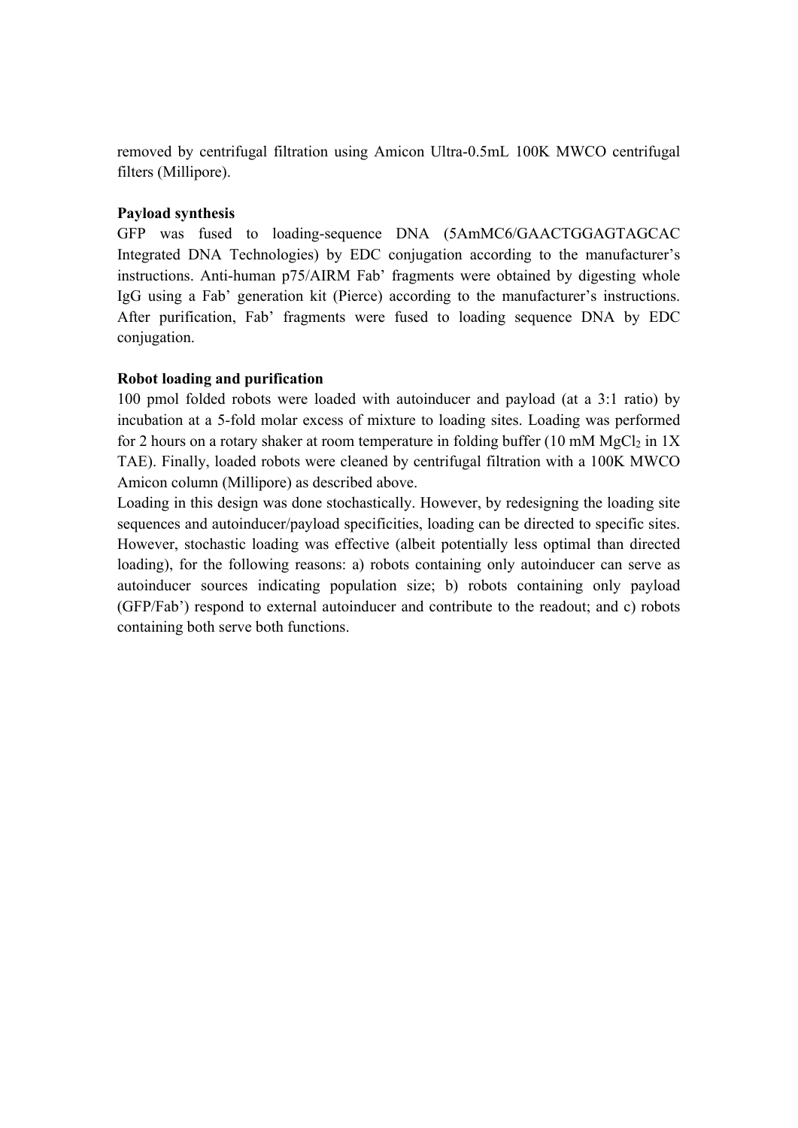removed by centrifugal filtration using Amicon Ultra-0.5mL 100K MWCO centrifugal filters (Millipore).

## **Payload synthesis**

GFP was fused to loading-sequence DNA (5AmMC6/GAACTGGAGTAGCAC Integrated DNA Technologies) by EDC conjugation according to the manufacturer's instructions. Anti-human p75/AIRM Fab' fragments were obtained by digesting whole IgG using a Fab' generation kit (Pierce) according to the manufacturer's instructions. After purification, Fab' fragments were fused to loading sequence DNA by EDC conjugation.

## **Robot loading and purification**

100 pmol folded robots were loaded with autoinducer and payload (at a 3:1 ratio) by incubation at a 5-fold molar excess of mixture to loading sites. Loading was performed for 2 hours on a rotary shaker at room temperature in folding buffer (10 mM  $MgCl<sub>2</sub>$  in 1X TAE). Finally, loaded robots were cleaned by centrifugal filtration with a 100K MWCO Amicon column (Millipore) as described above.

Loading in this design was done stochastically. However, by redesigning the loading site sequences and autoinducer/payload specificities, loading can be directed to specific sites. However, stochastic loading was effective (albeit potentially less optimal than directed loading), for the following reasons: a) robots containing only autoinducer can serve as autoinducer sources indicating population size; b) robots containing only payload (GFP/Fab') respond to external autoinducer and contribute to the readout; and c) robots containing both serve both functions.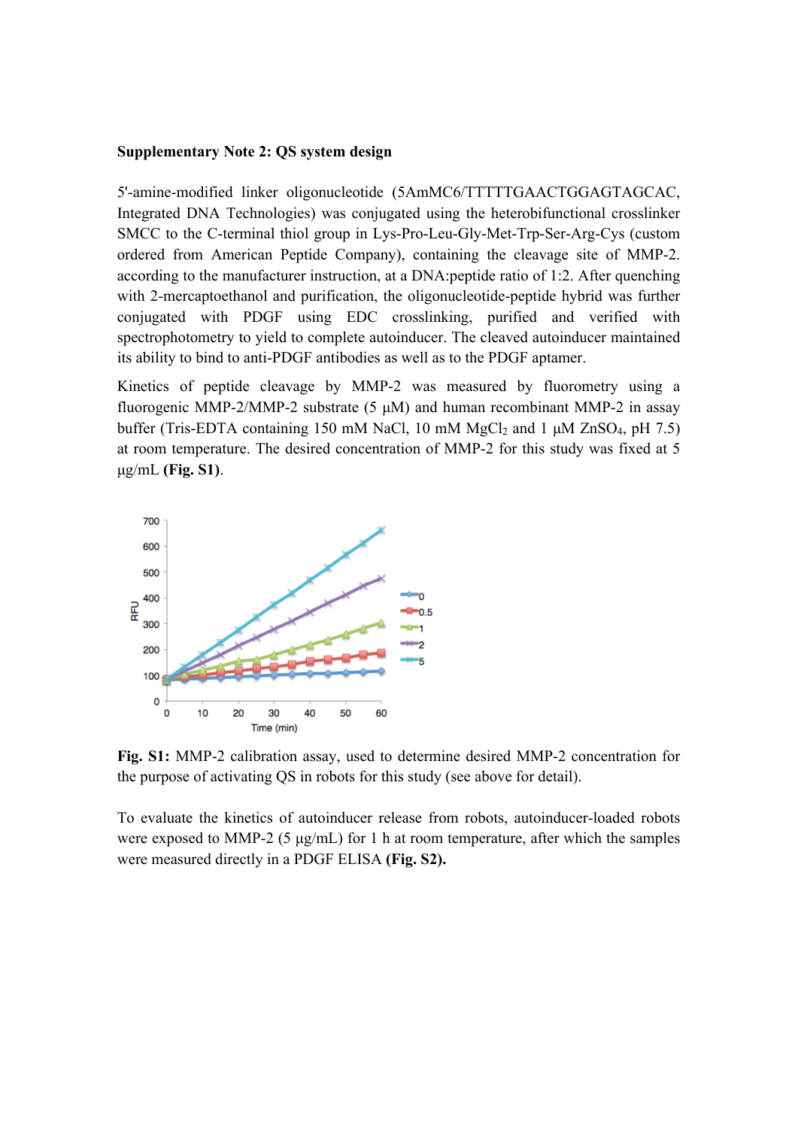## **Supplementary Note 2: QS system design**

5'-amine-modified linker oligonucleotide (5AmMC6/TTTTTGAACTGGAGTAGCAC, Integrated DNA Technologies) was conjugated using the heterobifunctional crosslinker SMCC to the C-terminal thiol group in Lys-Pro-Leu-Gly-Met-Trp-Ser-Arg-Cys (custom ordered from American Peptide Company), containing the cleavage site of MMP-2. according to the manufacturer instruction, at a DNA:peptide ratio of 1:2. After quenching with 2-mercaptoethanol and purification, the oligonucleotide-peptide hybrid was further conjugated with PDGF using EDC crosslinking, purified and verified with spectrophotometry to yield to complete autoinducer. The cleaved autoinducer maintained its ability to bind to anti-PDGF antibodies as well as to the PDGF aptamer.

Kinetics of peptide cleavage by MMP-2 was measured by fluorometry using a fluorogenic MMP-2/MMP-2 substrate  $(5 \mu M)$  and human recombinant MMP-2 in assay buffer (Tris-EDTA containing 150 mM NaCl, 10 mM MgCl<sub>2</sub> and 1  $\mu$ M ZnSO<sub>4</sub>, pH 7.5) at room temperature. The desired concentration of MMP-2 for this study was fixed at 5 µg/mL **(Fig. S1)**.



**Fig. S1:** MMP-2 calibration assay, used to determine desired MMP-2 concentration for the purpose of activating QS in robots for this study (see above for detail).

To evaluate the kinetics of autoinducer release from robots, autoinducer-loaded robots were exposed to MMP-2 (5  $\mu$ g/mL) for 1 h at room temperature, after which the samples were measured directly in a PDGF ELISA **(Fig. S2).**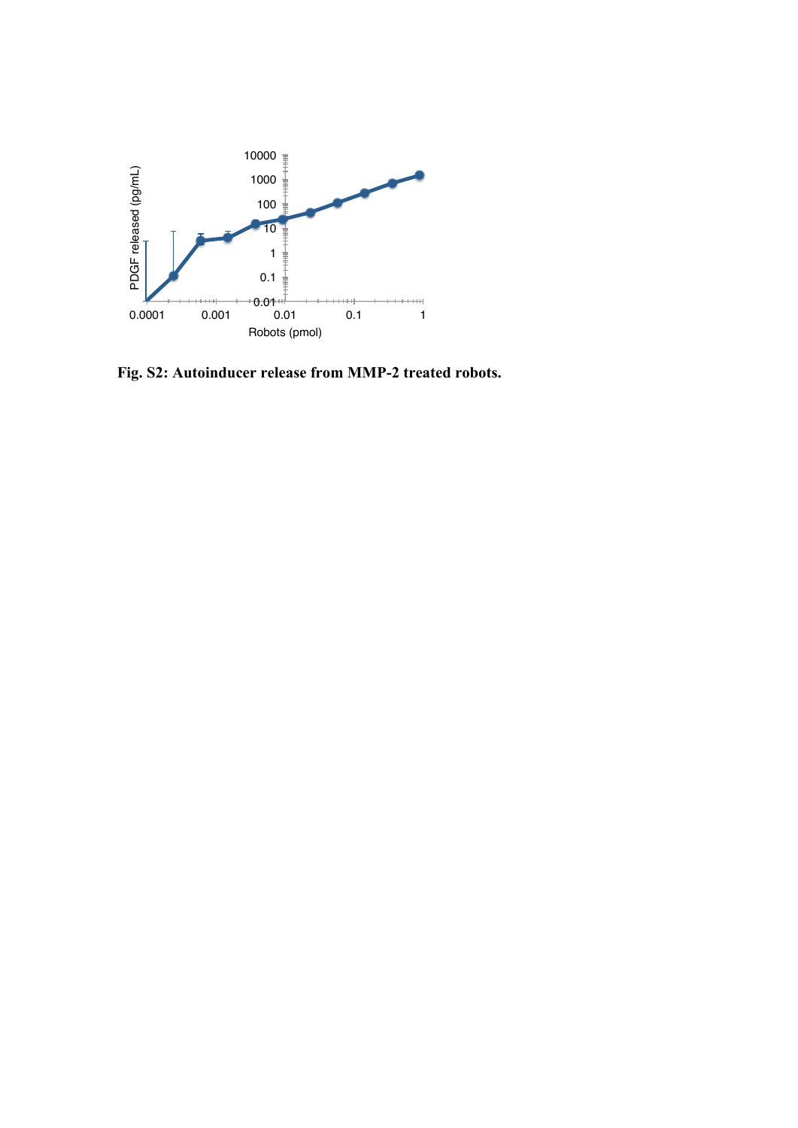

**Fig. S2: Autoinducer release from MMP-2 treated robots.**